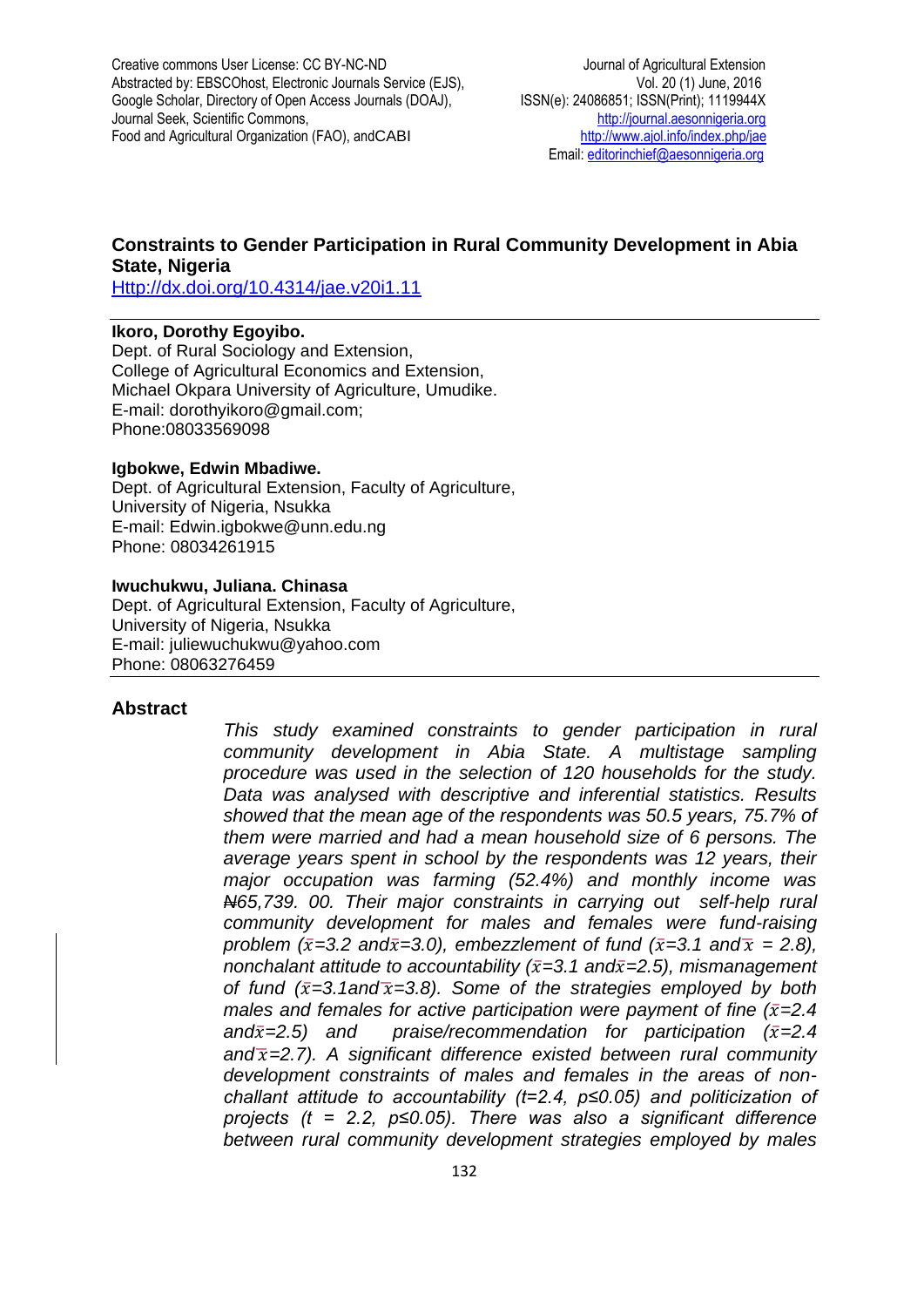Creative commons User License: CC BY-NC-ND Journal of Agricultural Extension Abstracted by: EBSCOhost, Electronic Journals Service (EJS), Vol. 20 (1) June, 2016 Google Scholar, Directory of Open Access Journals (DOAJ), ISSN(e): 24086851; ISSN(Print); 1119944X<br>Journal Seek, Scientific Commons, Intervention of the estimation of the example ria.org Journal Seek, Scientific Commons, Food and Agricultural Organization (FAO), andCABI <http://www.ajol.info/index.php/jae>

Email[: editorinchief@aesonnigeria.org](mailto:editorinchief@aesonnigeria.org)

## **Constraints to Gender Participation in Rural Community Development in Abia State, Nigeria**

[Http://dx.doi.org/10.4314/jae.v20i1.11](http://dx.doi.org/10.4314/jae.v20i1.11)

#### **Ikoro, Dorothy Egoyibo.**

Dept. of Rural Sociology and Extension, College of Agricultural Economics and Extension, Michael Okpara University of Agriculture, Umudike. E-mail: dorothyikoro@gmail.com; Phone:08033569098

#### **Igbokwe, Edwin Mbadiwe.**

Dept. of Agricultural Extension, Faculty of Agriculture, University of Nigeria, Nsukka E-mail: Edwin.igbokwe@unn.edu.ng Phone: 08034261915

### **Iwuchukwu, Juliana. Chinasa**

Dept. of Agricultural Extension, Faculty of Agriculture, University of Nigeria, Nsukka E-mail: juliewuchukwu@yahoo.com Phone: 08063276459

#### **Abstract**

*This study examined constraints to gender participation in rural community development in Abia State. A multistage sampling procedure was used in the selection of 120 households for the study. Data was analysed with descriptive and inferential statistics. Results showed that the mean age of the respondents was 50.5 years, 75.7% of them were married and had a mean household size of 6 persons. The average years spent in school by the respondents was 12 years, their major occupation was farming (52.4%) and monthly income was N65,739. 00. Their major constraints in carrying out self-help rural community development for males and females were fund-raising problem (* $\bar{x}$ *=3.2 and* $\bar{x}$ *=3.0), embezzlement of fund (* $\bar{x}$ *=3.1 and* $\bar{x}$  = 2.8), *nonchalant attitude to accountability (* $\bar{x}$ *=3.1 and* $\bar{x}$ *=2.5), mismanagement of fund*  $(\bar{x}=3.1$ *and* $\bar{x}=3.8)$ . Some of the strategies employed by both *males and females for active participation were payment of fine*  $(\bar{x}=2.4)$ and $\bar{x}$ =2.5) and praise/recommendation for participation ( $\bar{x}$ =2.4 *and*̅*=2.7). A significant difference existed between rural community development constraints of males and females in the areas of nonchallant attitude to accountability (t=2.4, p≤0.05) and politicization of projects (t = 2.2, p≤0.05). There was also a significant difference between rural community development strategies employed by males*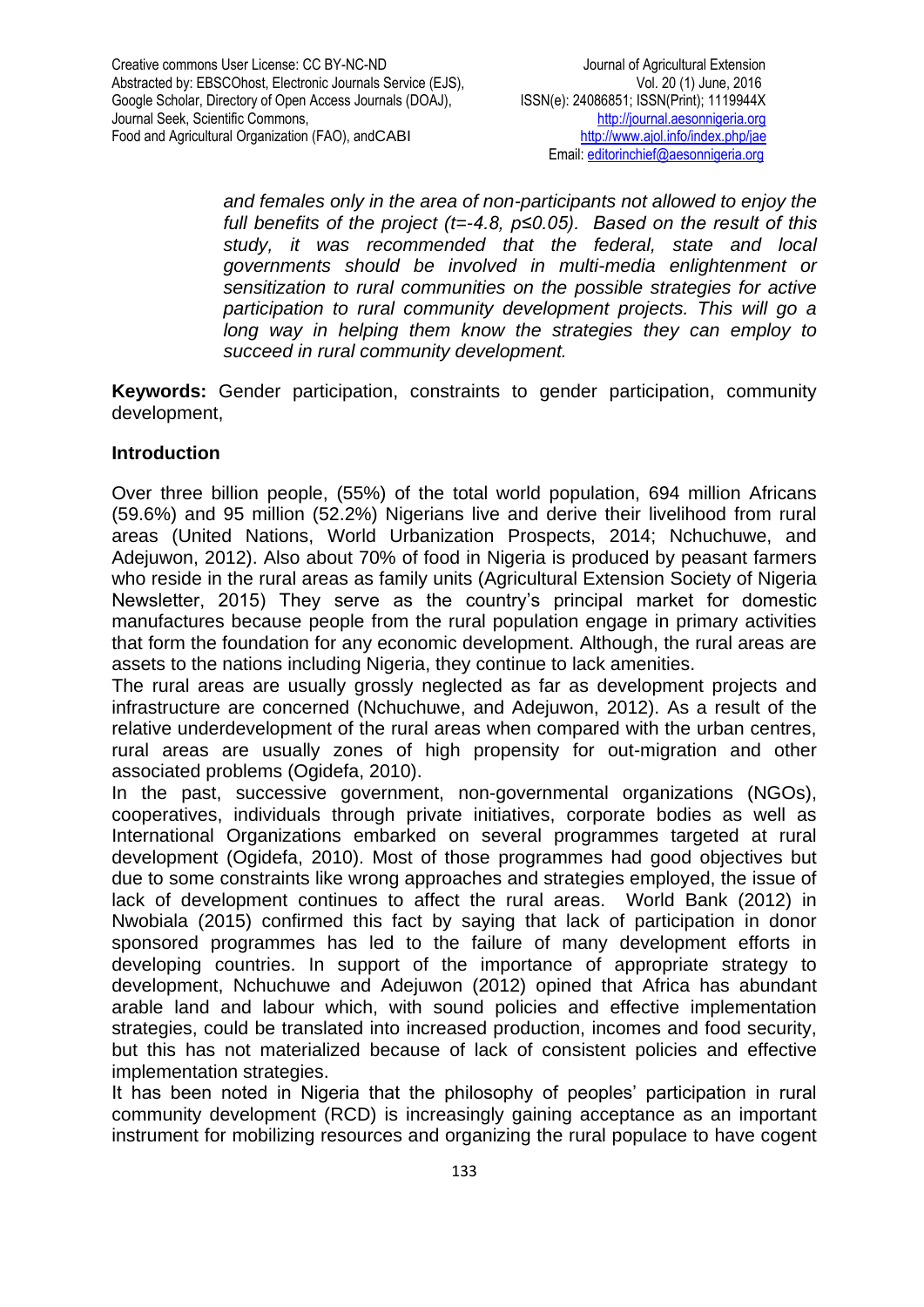*and females only in the area of non-participants not allowed to enjoy the full benefits of the project (t=-4.8, p≤0.05). Based on the result of this study, it was recommended that the federal, state and local governments should be involved in multi-media enlightenment or sensitization to rural communities on the possible strategies for active participation to rural community development projects. This will go a long way in helping them know the strategies they can employ to succeed in rural community development.* 

**Keywords:** Gender participation, constraints to gender participation, community development,

# **Introduction**

Over three billion people, (55%) of the total world population, 694 million Africans (59.6%) and 95 million (52.2%) Nigerians live and derive their livelihood from rural areas (United Nations, World Urbanization Prospects, 2014; Nchuchuwe, and Adejuwon, 2012). Also about 70% of food in Nigeria is produced by peasant farmers who reside in the rural areas as family units (Agricultural Extension Society of Nigeria Newsletter, 2015) They serve as the country's principal market for domestic manufactures because people from the rural population engage in primary activities that form the foundation for any economic development. Although, the rural areas are assets to the nations including Nigeria, they continue to lack amenities.

The rural areas are usually grossly neglected as far as development projects and infrastructure are concerned (Nchuchuwe, and Adejuwon, 2012). As a result of the relative underdevelopment of the rural areas when compared with the urban centres, rural areas are usually zones of high propensity for out-migration and other associated problems (Ogidefa, 2010).

In the past, successive government, non-governmental organizations (NGOs), cooperatives, individuals through private initiatives, corporate bodies as well as International Organizations embarked on several programmes targeted at rural development (Ogidefa, 2010). Most of those programmes had good objectives but due to some constraints like wrong approaches and strategies employed, the issue of lack of development continues to affect the rural areas. World Bank (2012) in Nwobiala (2015) confirmed this fact by saying that lack of participation in donor sponsored programmes has led to the failure of many development efforts in developing countries. In support of the importance of appropriate strategy to development, Nchuchuwe and Adejuwon (2012) opined that Africa has abundant arable land and labour which, with sound policies and effective implementation strategies, could be translated into increased production, incomes and food security, but this has not materialized because of lack of consistent policies and effective implementation strategies.

It has been noted in Nigeria that the philosophy of peoples' participation in rural community development (RCD) is increasingly gaining acceptance as an important instrument for mobilizing resources and organizing the rural populace to have cogent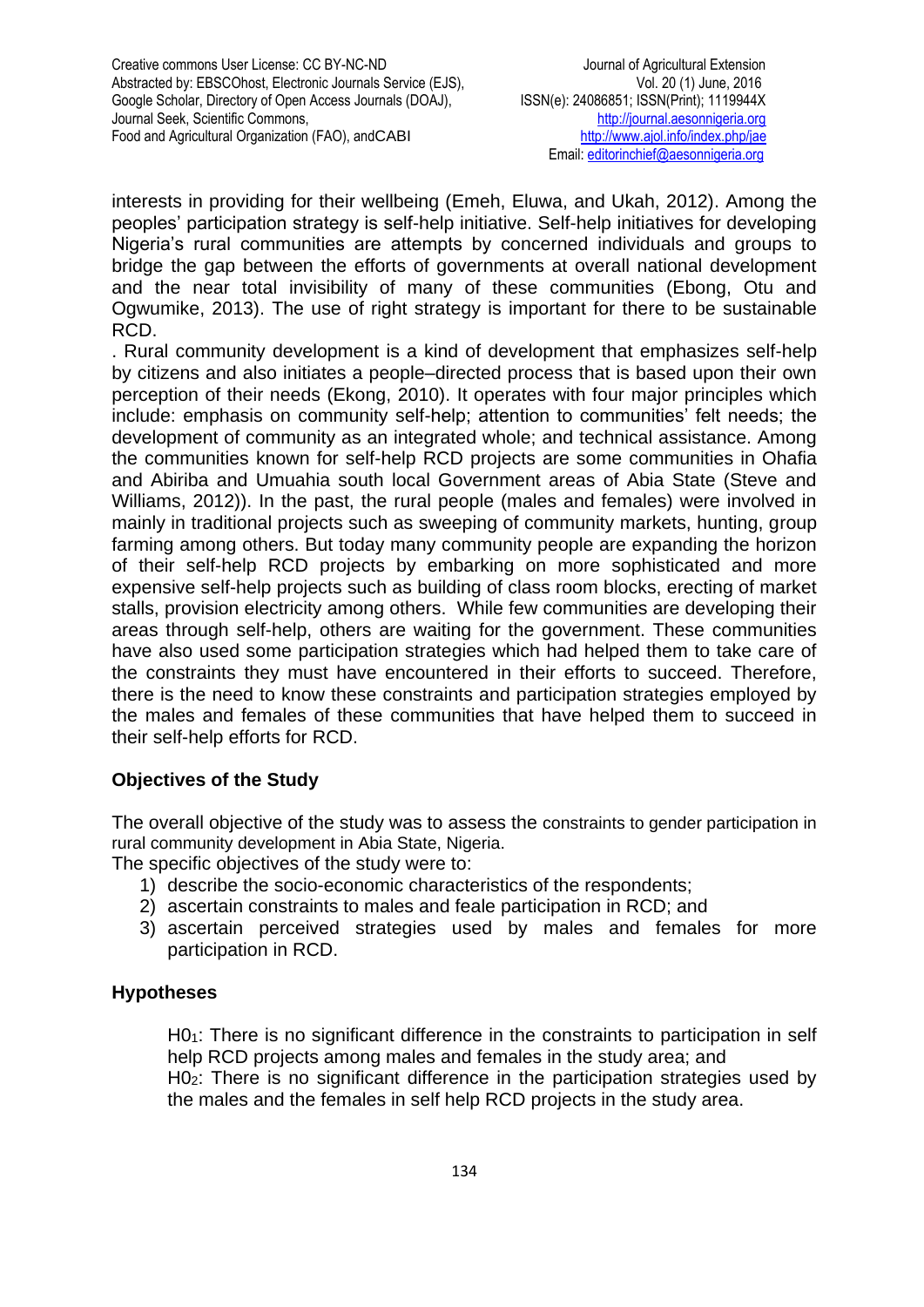interests in providing for their wellbeing (Emeh, Eluwa, and Ukah, 2012). Among the peoples' participation strategy is self-help initiative. Self-help initiatives for developing Nigeria's rural communities are attempts by concerned individuals and groups to bridge the gap between the efforts of governments at overall national development and the near total invisibility of many of these communities (Ebong, Otu and Ogwumike, 2013). The use of right strategy is important for there to be sustainable RCD.

. Rural community development is a kind of development that emphasizes self-help by citizens and also initiates a people–directed process that is based upon their own perception of their needs (Ekong, 2010). It operates with four major principles which include: emphasis on community self-help; attention to communities' felt needs; the development of community as an integrated whole; and technical assistance. Among the communities known for self-help RCD projects are some communities in Ohafia and Abiriba and Umuahia south local Government areas of Abia State (Steve and Williams, 2012)). In the past, the rural people (males and females) were involved in mainly in traditional projects such as sweeping of community markets, hunting, group farming among others. But today many community people are expanding the horizon of their self-help RCD projects by embarking on more sophisticated and more expensive self-help projects such as building of class room blocks, erecting of market stalls, provision electricity among others. While few communities are developing their areas through self-help, others are waiting for the government. These communities have also used some participation strategies which had helped them to take care of the constraints they must have encountered in their efforts to succeed. Therefore, there is the need to know these constraints and participation strategies employed by the males and females of these communities that have helped them to succeed in their self-help efforts for RCD.

# **Objectives of the Study**

The overall objective of the study was to assess the constraints to gender participation in rural community development in Abia State, Nigeria.

The specific objectives of the study were to:

- 1) describe the socio-economic characteristics of the respondents;
- 2) ascertain constraints to males and feale participation in RCD; and
- 3) ascertain perceived strategies used by males and females for more participation in RCD.

## **Hypotheses**

 $H0<sub>1</sub>$ : There is no significant difference in the constraints to participation in self help RCD projects among males and females in the study area; and H02: There is no significant difference in the participation strategies used by

the males and the females in self help RCD projects in the study area.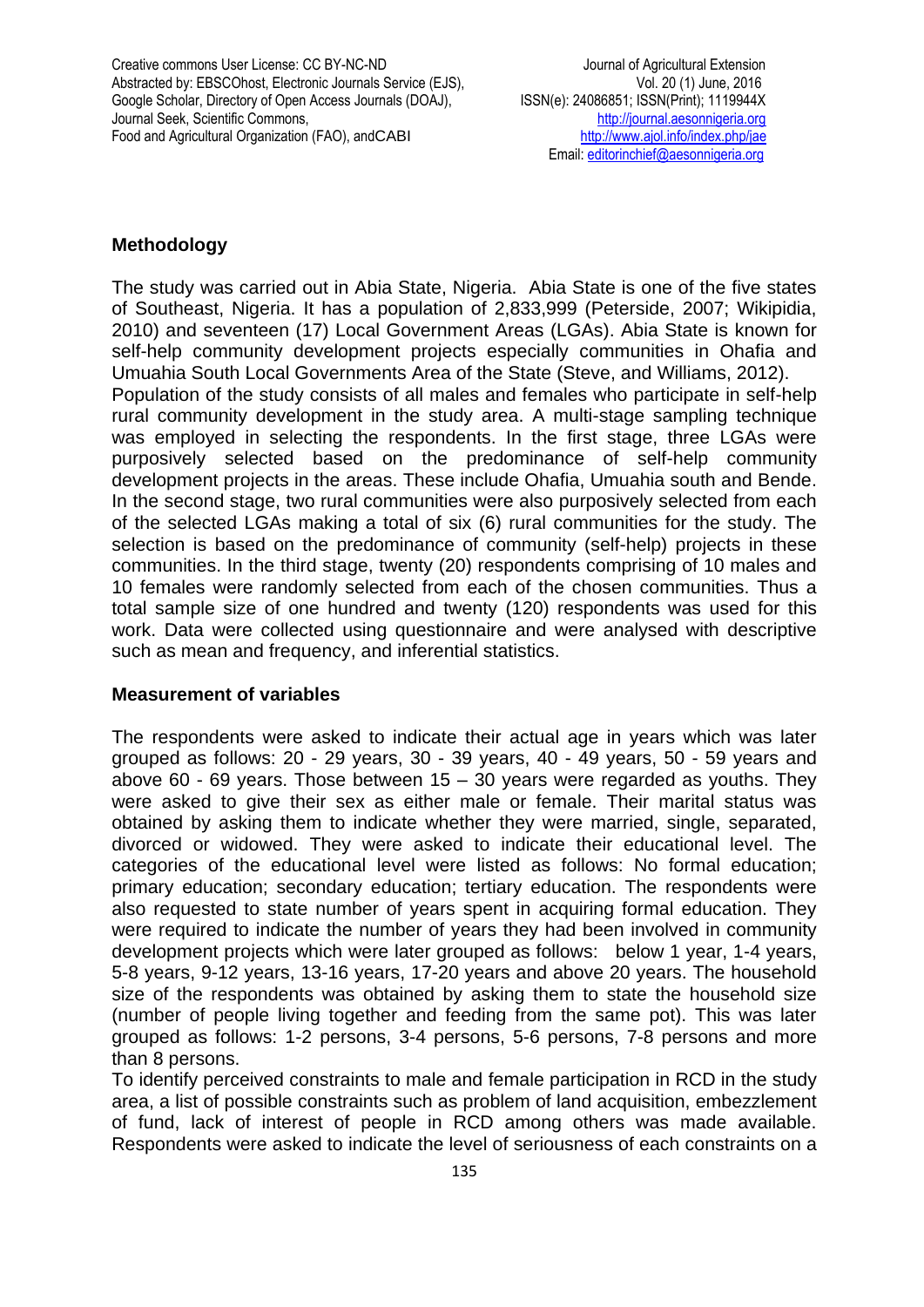Creative commons User License: CC BY-NC-ND Journal of Agricultural Extension Abstracted by: EBSCOhost, Electronic Journals Service (EJS), Vol. 20 (1) June, 2016<br>Goodle Scholar, Directory of Open Access Journals (DOAJ), ISSN(e): 24086851; ISSN(Print); 1119944X Google Scholar, Directory of Open Access Journals (DOAJ), ISSN(e): 24086851; ISSN(Print); 1119944X<br>Journal Seek, Scientific Commons, Intervention of the estimation of the example ria.org Journal Seek, Scientific Commons, Food and Agricultural Organization (FAO), andCABI <http://www.ajol.info/index.php/jae>

# **Methodology**

The study was carried out in Abia State, Nigeria. Abia State is one of the five states of Southeast, Nigeria. It has a population of 2,833,999 (Peterside, 2007; Wikipidia, 2010) and seventeen (17) Local Government Areas (LGAs). Abia State is known for self-help community development projects especially communities in Ohafia and Umuahia South Local Governments Area of the State (Steve, and Williams, 2012). Population of the study consists of all males and females who participate in self-help rural community development in the study area. A multi-stage sampling technique was employed in selecting the respondents. In the first stage, three LGAs were purposively selected based on the predominance of self-help community development projects in the areas. These include Ohafia, Umuahia south and Bende. In the second stage, two rural communities were also purposively selected from each of the selected LGAs making a total of six (6) rural communities for the study. The selection is based on the predominance of community (self-help) projects in these communities. In the third stage, twenty (20) respondents comprising of 10 males and 10 females were randomly selected from each of the chosen communities. Thus a total sample size of one hundred and twenty (120) respondents was used for this work. Data were collected using questionnaire and were analysed with descriptive such as mean and frequency, and inferential statistics.

## **Measurement of variables**

The respondents were asked to indicate their actual age in years which was later grouped as follows: 20 - 29 years, 30 - 39 years, 40 - 49 years, 50 - 59 years and above  $60 - 69$  years. Those between  $15 - 30$  years were regarded as youths. They were asked to give their sex as either male or female. Their marital status was obtained by asking them to indicate whether they were married, single, separated, divorced or widowed. They were asked to indicate their educational level. The categories of the educational level were listed as follows: No formal education; primary education; secondary education; tertiary education. The respondents were also requested to state number of years spent in acquiring formal education. They were required to indicate the number of years they had been involved in community development projects which were later grouped as follows: below 1 year, 1-4 years, 5-8 years, 9-12 years, 13-16 years, 17-20 years and above 20 years. The household size of the respondents was obtained by asking them to state the household size (number of people living together and feeding from the same pot). This was later grouped as follows: 1-2 persons, 3-4 persons, 5-6 persons, 7-8 persons and more than 8 persons.

To identify perceived constraints to male and female participation in RCD in the study area, a list of possible constraints such as problem of land acquisition, embezzlement of fund, lack of interest of people in RCD among others was made available. Respondents were asked to indicate the level of seriousness of each constraints on a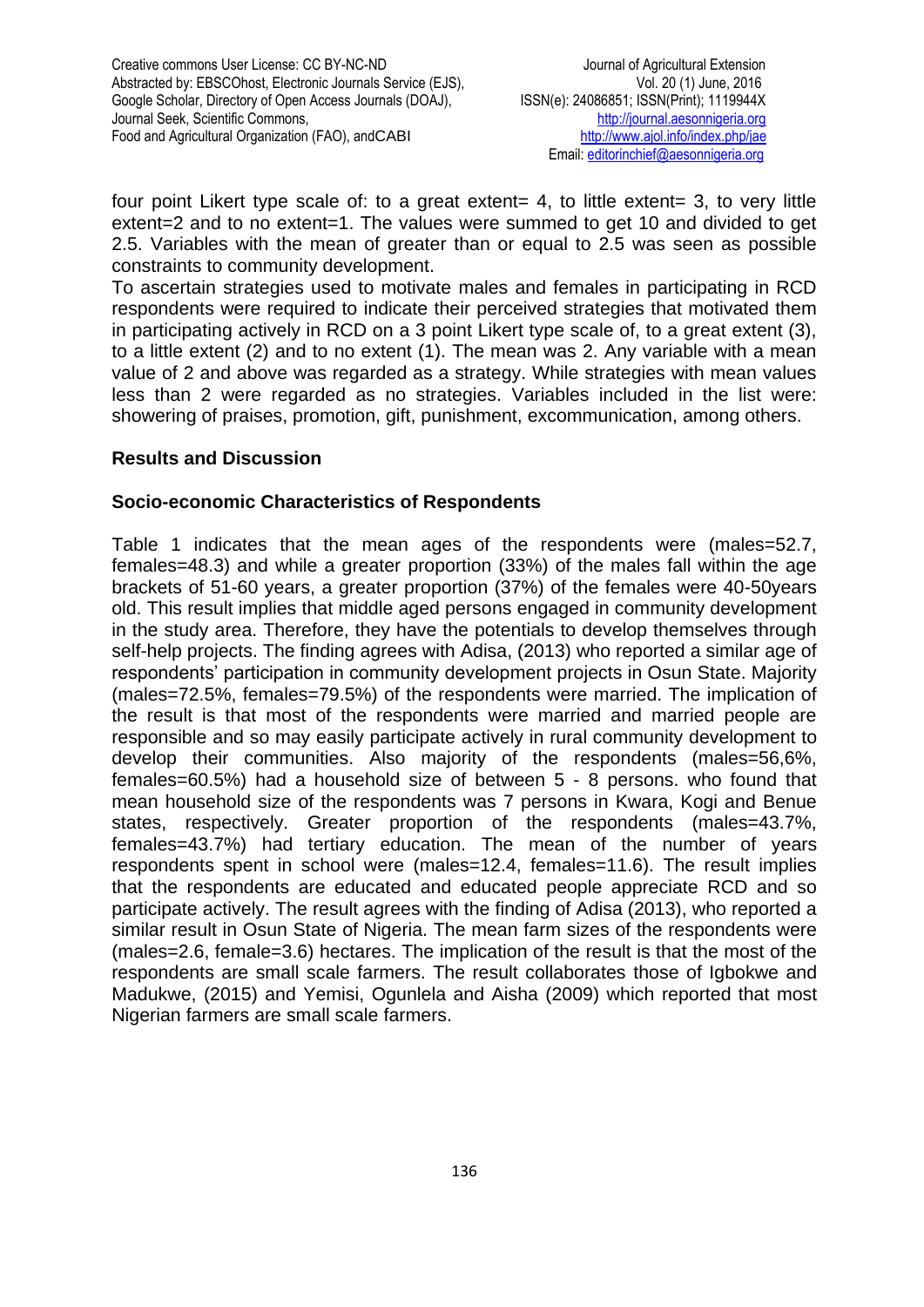four point Likert type scale of: to a great extent= 4, to little extent= 3, to very little extent=2 and to no extent=1. The values were summed to get 10 and divided to get 2.5. Variables with the mean of greater than or equal to 2.5 was seen as possible constraints to community development.

To ascertain strategies used to motivate males and females in participating in RCD respondents were required to indicate their perceived strategies that motivated them in participating actively in RCD on a 3 point Likert type scale of, to a great extent (3), to a little extent (2) and to no extent (1). The mean was 2. Any variable with a mean value of 2 and above was regarded as a strategy. While strategies with mean values less than 2 were regarded as no strategies. Variables included in the list were: showering of praises, promotion, gift, punishment, excommunication, among others.

## **Results and Discussion**

## **Socio-economic Characteristics of Respondents**

Table 1 indicates that the mean ages of the respondents were (males=52.7, females=48.3) and while a greater proportion (33%) of the males fall within the age brackets of 51-60 years, a greater proportion (37%) of the females were 40-50years old. This result implies that middle aged persons engaged in community development in the study area. Therefore, they have the potentials to develop themselves through self-help projects. The finding agrees with Adisa, (2013) who reported a similar age of respondents' participation in community development projects in Osun State. Majority (males=72.5%, females=79.5%) of the respondents were married. The implication of the result is that most of the respondents were married and married people are responsible and so may easily participate actively in rural community development to develop their communities. Also majority of the respondents (males=56,6%, females=60.5%) had a household size of between 5 - 8 persons. who found that mean household size of the respondents was 7 persons in Kwara, Kogi and Benue states, respectively. Greater proportion of the respondents (males=43.7%, females=43.7%) had tertiary education. The mean of the number of years respondents spent in school were (males=12.4, females=11.6). The result implies that the respondents are educated and educated people appreciate RCD and so participate actively. The result agrees with the finding of Adisa (2013), who reported a similar result in Osun State of Nigeria. The mean farm sizes of the respondents were (males=2.6, female=3.6) hectares. The implication of the result is that the most of the respondents are small scale farmers. The result collaborates those of Igbokwe and Madukwe, (2015) and Yemisi, Ogunlela and Aisha (2009) which reported that most Nigerian farmers are small scale farmers.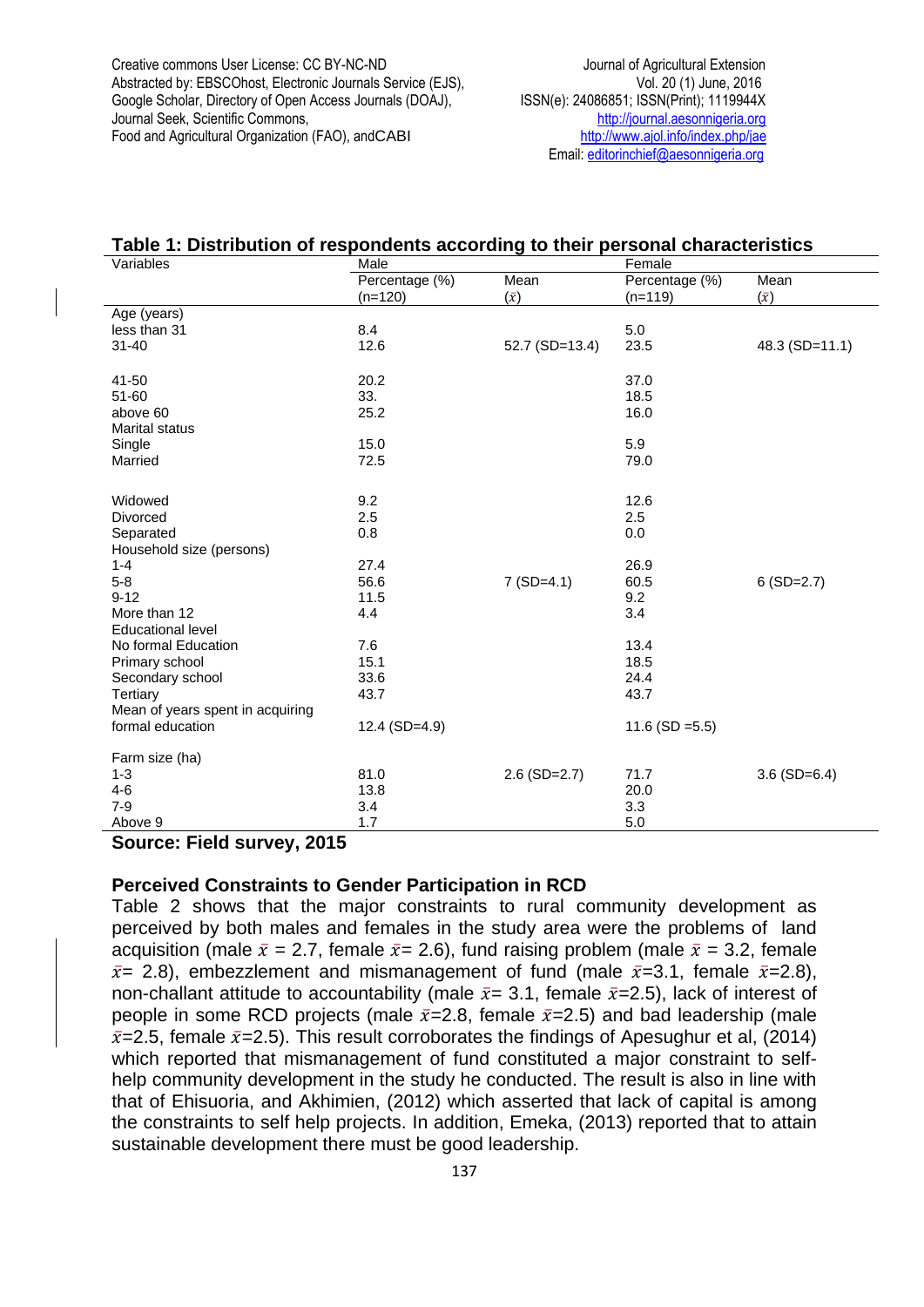Creative commons User License: CC BY-NC-ND Journal of Agricultural Extension Abstracted by: EBSCOhost, Electronic Journals Service (EJS), Vol. 20 (1) June, 2016 Google Scholar, Directory of Open Access Journals (DOAJ), ISSN(e): 24086851; ISSN(Print); 1119944X<br>Journal Seek, Scientific Commons, Intervention of the estimate assonnigeria.org Journal Seek, Scientific Commons, Food and Agricultural Organization (FAO), andCABI <http://www.ajol.info/index.php/jae>

Email[: editorinchief@aesonnigeria.org](mailto:editorinchief@aesonnigeria.org)

#### **Table 1: Distribution of respondents according to their personal characteristics**

| Variables                        | Male           |                    | Female             |                |  |
|----------------------------------|----------------|--------------------|--------------------|----------------|--|
|                                  | Percentage (%) | Mean               | Percentage (%)     | Mean           |  |
|                                  | $(n=120)$      | $(\bar{x})$        | $(n=119)$          | $(\bar{x})$    |  |
| Age (years)                      |                |                    |                    |                |  |
| less than 31                     | 8.4            |                    | 5.0                |                |  |
| $31 - 40$                        | 12.6           | 52.7 (SD=13.4)     | 23.5               | 48.3 (SD=11.1) |  |
|                                  |                |                    |                    |                |  |
| 41-50                            | 20.2           |                    | 37.0               |                |  |
| $51 - 60$                        | 33.            |                    | 18.5               |                |  |
| above 60                         | 25.2           |                    | 16.0               |                |  |
| <b>Marital status</b>            |                |                    |                    |                |  |
| Single                           | 15.0           |                    | 5.9                |                |  |
| Married                          | 72.5           |                    | 79.0               |                |  |
|                                  |                |                    |                    |                |  |
| Widowed                          | 9.2            |                    | 12.6               |                |  |
| Divorced                         | 2.5            |                    | 2.5                |                |  |
| Separated                        | 0.8            |                    | 0.0                |                |  |
| Household size (persons)         |                |                    |                    |                |  |
| $1 - 4$                          | 27.4           |                    | 26.9               |                |  |
| $5-8$                            | 56.6           | $7 (SD=4.1)$       | 60.5               | $6(SD=2.7)$    |  |
| $9 - 12$                         | 11.5           |                    | 9.2                |                |  |
| More than 12                     | 4.4            |                    | 3.4                |                |  |
| <b>Educational level</b>         |                |                    |                    |                |  |
| No formal Education              | 7.6            |                    | 13.4               |                |  |
| Primary school                   | 15.1           |                    | 18.5               |                |  |
| Secondary school                 | 33.6           |                    | 24.4               |                |  |
| Tertiary                         | 43.7           |                    | 43.7               |                |  |
| Mean of years spent in acquiring |                |                    |                    |                |  |
| formal education                 | 12.4 (SD=4.9)  |                    | 11.6 (SD = $5.5$ ) |                |  |
|                                  |                |                    |                    |                |  |
| Farm size (ha)                   |                |                    |                    |                |  |
| $1 - 3$                          | 81.0           | $2.6$ (SD= $2.7$ ) | 71.7               | $3.6$ (SD=6.4) |  |
| $4 - 6$                          | 13.8           |                    | 20.0               |                |  |
| $7-9$                            | 3.4            |                    | 3.3                |                |  |
| Above 9                          | 1.7            |                    | 5.0                |                |  |

## **Source: Field survey, 2015**

## **Perceived Constraints to Gender Participation in RCD**

Table 2 shows that the major constraints to rural community development as perceived by both males and females in the study area were the problems of land acquisition (male  $\bar{x}$  = 2.7, female  $\bar{x}$  = 2.6), fund raising problem (male  $\bar{x}$  = 3.2, female  $\bar{x}$  = 2.8), embezzlement and mismanagement of fund (male  $\bar{x}$  = 3.1, female  $\bar{x}$  = 2.8), non-challant attitude to accountability (male  $\bar{x}$  = 3.1, female  $\bar{x}$  = 2.5), lack of interest of people in some RCD projects (male  $\bar{x}$ =2.8, female  $\bar{x}$ =2.5) and bad leadership (male  $\bar{x}$ =2.5, female  $\bar{x}$ =2.5). This result corroborates the findings of Apesughur et al, (2014) which reported that mismanagement of fund constituted a major constraint to selfhelp community development in the study he conducted. The result is also in line with that of Ehisuoria, and Akhimien, (2012) which asserted that lack of capital is among the constraints to self help projects. In addition, Emeka, (2013) reported that to attain sustainable development there must be good leadership.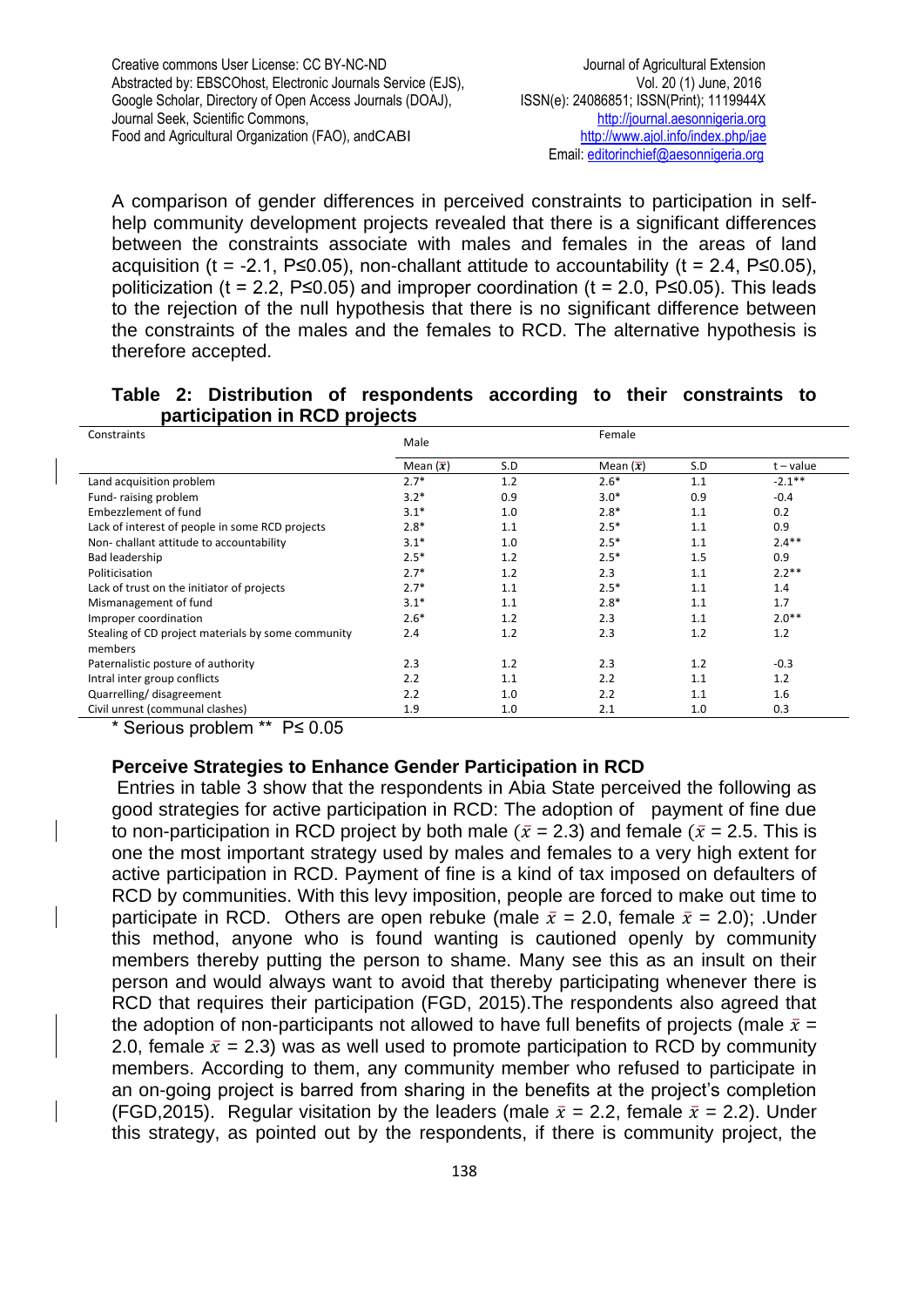A comparison of gender differences in perceived constraints to participation in selfhelp community development projects revealed that there is a significant differences between the constraints associate with males and females in the areas of land acquisition (t = -2.1, P≤0.05), non-challant attitude to accountability (t = 2.4, P≤0.05), politicization (t = 2.2, P≤0.05) and improper coordination (t = 2.0, P≤0.05). This leads to the rejection of the null hypothesis that there is no significant difference between the constraints of the males and the females to RCD. The alternative hypothesis is therefore accepted.

## **Table 2: Distribution of respondents according to their constraints to participation in RCD projects**

| Constraints                                        | Male             |     | Female           |     |             |
|----------------------------------------------------|------------------|-----|------------------|-----|-------------|
|                                                    | Mean $(\bar{x})$ | S.D | Mean $(\bar{x})$ | S.D | $t - value$ |
| Land acquisition problem                           | $2.7*$           | 1.2 | $2.6*$           | 1.1 | $-2.1***$   |
| Fund-raising problem                               | $3.2*$           | 0.9 | $3.0*$           | 0.9 | $-0.4$      |
| Embezzlement of fund                               | $3.1*$           | 1.0 | $2.8*$           | 1.1 | 0.2         |
| Lack of interest of people in some RCD projects    | $2.8*$           | 1.1 | $2.5*$           | 1.1 | 0.9         |
| Non-challant attitude to accountability            | $3.1*$           | 1.0 | $2.5*$           | 1.1 | $2.4**$     |
| Bad leadership                                     | $2.5*$           | 1.2 | $2.5*$           | 1.5 | 0.9         |
| Politicisation                                     | $2.7*$           | 1.2 | 2.3              | 1.1 | $2.2**$     |
| Lack of trust on the initiator of projects         | $2.7*$           | 1.1 | $2.5*$           | 1.1 | 1.4         |
| Mismanagement of fund                              | $3.1*$           | 1.1 | $2.8*$           | 1.1 | 1.7         |
| Improper coordination                              | $2.6*$           | 1.2 | 2.3              | 1.1 | $2.0**$     |
| Stealing of CD project materials by some community | 2.4              | 1.2 | 2.3              | 1.2 | 1.2         |
| members                                            |                  |     |                  |     |             |
| Paternalistic posture of authority                 | 2.3              | 1.2 | 2.3              | 1.2 | $-0.3$      |
| Intral inter group conflicts                       | 2.2              | 1.1 | 2.2              | 1.1 | 1.2         |
| Quarrelling/disagreement                           | 2.2              | 1.0 | 2.2              | 1.1 | 1.6         |
| Civil unrest (communal clashes)                    | 1.9              | 1.0 | 2.1              | 1.0 | 0.3         |

\* Serious problem \*\* P≤ 0.05

## **Perceive Strategies to Enhance Gender Participation in RCD**

Entries in table 3 show that the respondents in Abia State perceived the following as good strategies for active participation in RCD: The adoption of payment of fine due to non-participation in RCD project by both male ( $\bar{x}$  = 2.3) and female ( $\bar{x}$  = 2.5. This is one the most important strategy used by males and females to a very high extent for active participation in RCD. Payment of fine is a kind of tax imposed on defaulters of RCD by communities. With this levy imposition, people are forced to make out time to participate in RCD. Others are open rebuke (male  $\bar{x} = 2.0$ , female  $\bar{x} = 2.0$ ); Under this method, anyone who is found wanting is cautioned openly by community members thereby putting the person to shame. Many see this as an insult on their person and would always want to avoid that thereby participating whenever there is RCD that requires their participation (FGD, 2015).The respondents also agreed that the adoption of non-participants not allowed to have full benefits of projects (male  $\bar{x}$  = 2.0, female  $\bar{x}$  = 2.3) was as well used to promote participation to RCD by community members. According to them, any community member who refused to participate in an on-going project is barred from sharing in the benefits at the project's completion (FGD,2015). Regular visitation by the leaders (male  $\bar{x} = 2.2$ , female  $\bar{x} = 2.2$ ). Under this strategy, as pointed out by the respondents, if there is community project, the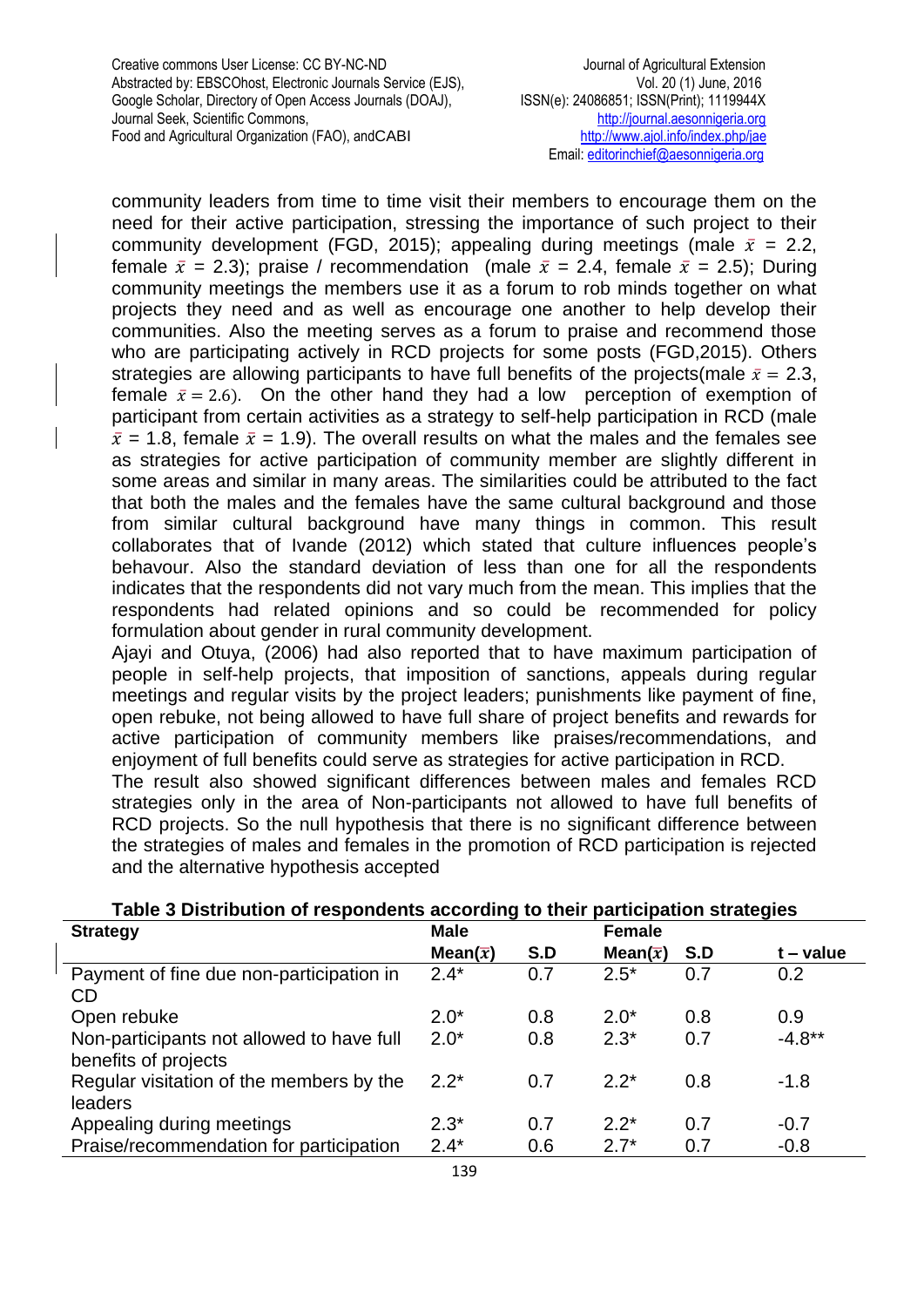community leaders from time to time visit their members to encourage them on the need for their active participation, stressing the importance of such project to their community development (FGD, 2015); appealing during meetings (male  $\bar{x} = 2.2$ , female  $\bar{x} = 2.3$ ; praise / recommendation (male  $\bar{x} = 2.4$ , female  $\bar{x} = 2.5$ ); During community meetings the members use it as a forum to rob minds together on what projects they need and as well as encourage one another to help develop their communities. Also the meeting serves as a forum to praise and recommend those who are participating actively in RCD projects for some posts (FGD,2015). Others strategies are allowing participants to have full benefits of the projects(male  $\bar{x} = 2.3$ , female  $\bar{x} = 2.6$ ). On the other hand they had a low perception of exemption of participant from certain activities as a strategy to self-help participation in RCD (male  $\bar{x}$  = 1.8, female  $\bar{x}$  = 1.9). The overall results on what the males and the females see as strategies for active participation of community member are slightly different in some areas and similar in many areas. The similarities could be attributed to the fact that both the males and the females have the same cultural background and those from similar cultural background have many things in common. This result collaborates that of Ivande (2012) which stated that culture influences people's behavour. Also the standard deviation of less than one for all the respondents indicates that the respondents did not vary much from the mean. This implies that the respondents had related opinions and so could be recommended for policy formulation about gender in rural community development.

Ajayi and Otuya, (2006) had also reported that to have maximum participation of people in self-help projects, that imposition of sanctions, appeals during regular meetings and regular visits by the project leaders; punishments like payment of fine, open rebuke, not being allowed to have full share of project benefits and rewards for active participation of community members like praises/recommendations, and enjoyment of full benefits could serve as strategies for active participation in RCD. The result also showed significant differences between males and females RCD strategies only in the area of Non-participants not allowed to have full benefits of RCD projects. So the null hypothesis that there is no significant difference between the strategies of males and females in the promotion of RCD participation is rejected and the alternative hypothesis accepted

| <b>. app of the matrix is the population about any to them</b><br><b>Strategy</b> | <b>Male</b>       |     | <b>Female</b>     | <b>Participation cuatogioo</b> |           |
|-----------------------------------------------------------------------------------|-------------------|-----|-------------------|--------------------------------|-----------|
|                                                                                   | Mean( $\bar{x}$ ) | S.D | Mean( $\bar{x}$ ) | S.D                            | t – value |
| Payment of fine due non-participation in<br>CD                                    | $2.4*$            | 0.7 | $2.5*$            | 0.7                            | 0.2       |
| Open rebuke                                                                       | $2.0*$            | 0.8 | $2.0*$            | 0.8                            | 0.9       |
| Non-participants not allowed to have full<br>benefits of projects                 | $2.0*$            | 0.8 | $2.3*$            | 0.7                            | $-4.8**$  |
| Regular visitation of the members by the<br>leaders                               | $2.2^*$           | 0.7 | $2.2*$            | 0.8                            | $-1.8$    |
| Appealing during meetings                                                         | $2.3*$            | 0.7 | $2.2^*$           | 0.7                            | $-0.7$    |
| Praise/recommendation for participation                                           | $2.4*$            | 0.6 | $2.7*$            | 0.7                            | $-0.8$    |

## **Table 3 Distribution of respondents according to their participation strategies**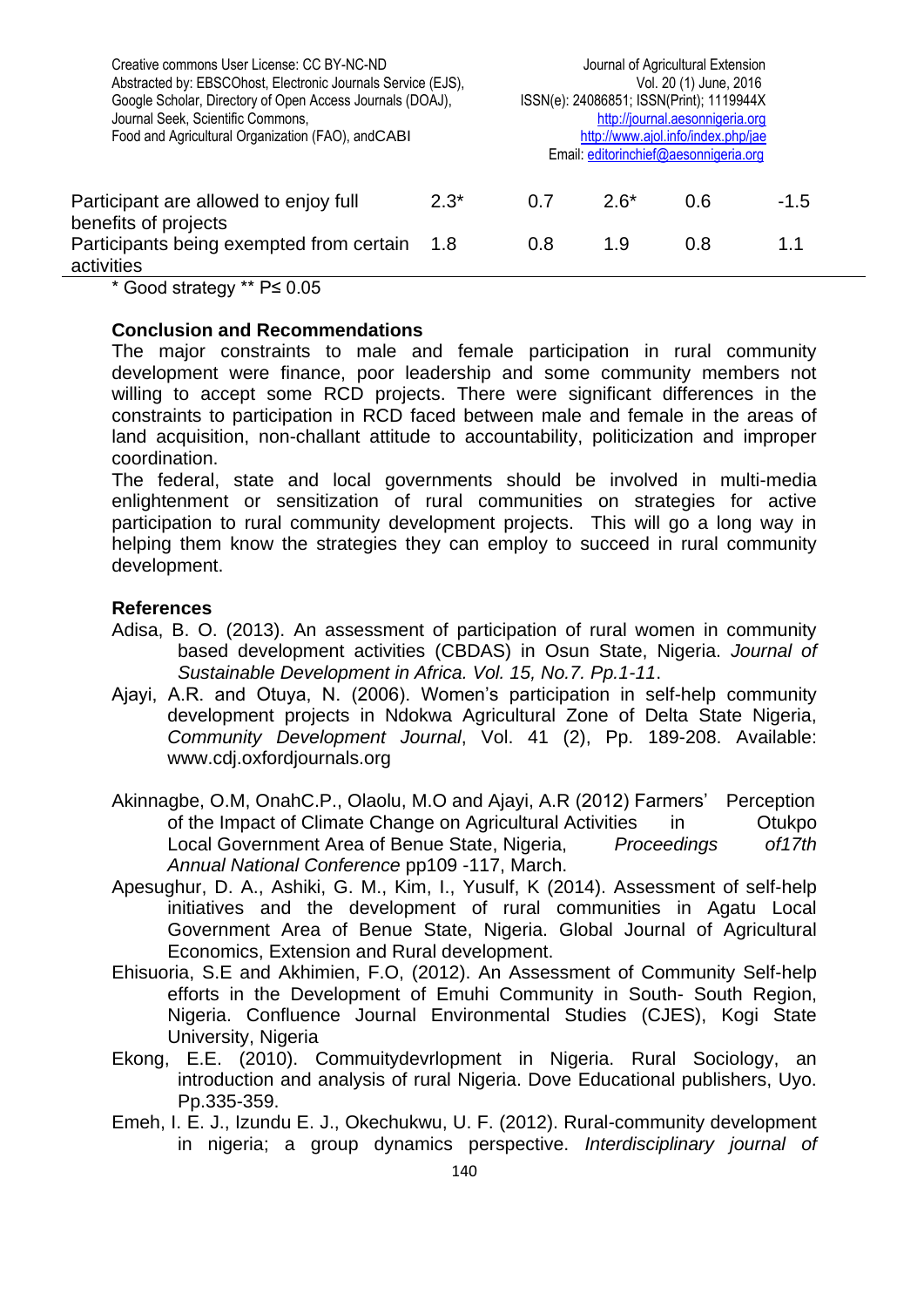| Creative commons User License: CC BY-NC-ND<br>Abstracted by: EBSCOhost, Electronic Journals Service (EJS),<br>Google Scholar, Directory of Open Access Journals (DOAJ),<br>Journal Seek, Scientific Commons,<br>Food and Agricultural Organization (FAO), and CABI |         | Journal of Agricultural Extension<br>Vol. 20 (1) June, 2016<br>ISSN(e): 24086851; ISSN(Print); 1119944X<br>http://journal.aesonnigeria.org<br>http://www.ajol.info/index.php/jae<br>Email: editorinchief@aesonnigeria.org |        |     |        |  |
|--------------------------------------------------------------------------------------------------------------------------------------------------------------------------------------------------------------------------------------------------------------------|---------|---------------------------------------------------------------------------------------------------------------------------------------------------------------------------------------------------------------------------|--------|-----|--------|--|
| Participant are allowed to enjoy full<br>benefits of projects                                                                                                                                                                                                      | $2.3^*$ | 0.7                                                                                                                                                                                                                       | $2.6*$ | 0.6 | $-1.5$ |  |
| Participants being exempted from certain<br>activities                                                                                                                                                                                                             | -1.8    | 0.8                                                                                                                                                                                                                       | 1.9    | 0.8 | 1.1    |  |
| * ^ * * * * * * ^ ^ ~ ~                                                                                                                                                                                                                                            |         |                                                                                                                                                                                                                           |        |     |        |  |

\* Good strategy \*\* P≤ 0.05

## **Conclusion and Recommendations**

The major constraints to male and female participation in rural community development were finance, poor leadership and some community members not willing to accept some RCD projects. There were significant differences in the constraints to participation in RCD faced between male and female in the areas of land acquisition, non-challant attitude to accountability, politicization and improper coordination.

The federal, state and local governments should be involved in multi-media enlightenment or sensitization of rural communities on strategies for active participation to rural community development projects. This will go a long way in helping them know the strategies they can employ to succeed in rural community development.

## **References**

- Adisa, B. O. (2013). An assessment of participation of rural women in community based development activities (CBDAS) in Osun State, Nigeria. *Journal of Sustainable Development in Africa. Vol. 15, No.7. Pp.1-11*.
- Ajayi, A.R. and Otuya, N. (2006). Women's participation in self-help community development projects in Ndokwa Agricultural Zone of Delta State Nigeria, *Community Development Journal*, Vol. 41 (2), Pp. 189-208. Available: www.cdj.oxfordjournals.org
- Akinnagbe, O.M, OnahC.P., Olaolu, M.O and Ajayi, A.R (2012) Farmers' Perception of the Impact of Climate Change on Agricultural Activities in Otukpo Local Government Area of Benue State, Nigeria, *Proceedings of17th Annual National Conference* pp109 -117, March.
- Apesughur, D. A., Ashiki, G. M., Kim, I., Yusulf, K (2014). Assessment of self-help initiatives and the development of rural communities in Agatu Local Government Area of Benue State, Nigeria. Global Journal of Agricultural Economics, Extension and Rural development.
- Ehisuoria, S.E and Akhimien, F.O, (2012). An Assessment of Community Self-help efforts in the Development of Emuhi Community in South- South Region, Nigeria. Confluence Journal Environmental Studies (CJES), Kogi State University, Nigeria
- Ekong, E.E. (2010). Commuitydevrlopment in Nigeria. Rural Sociology, an introduction and analysis of rural Nigeria. Dove Educational publishers, Uyo. Pp.335-359.
- Emeh, I. E. J., Izundu E. J., Okechukwu, U. F. (2012). Rural-community development in nigeria; a group dynamics perspective. *Interdisciplinary journal of*